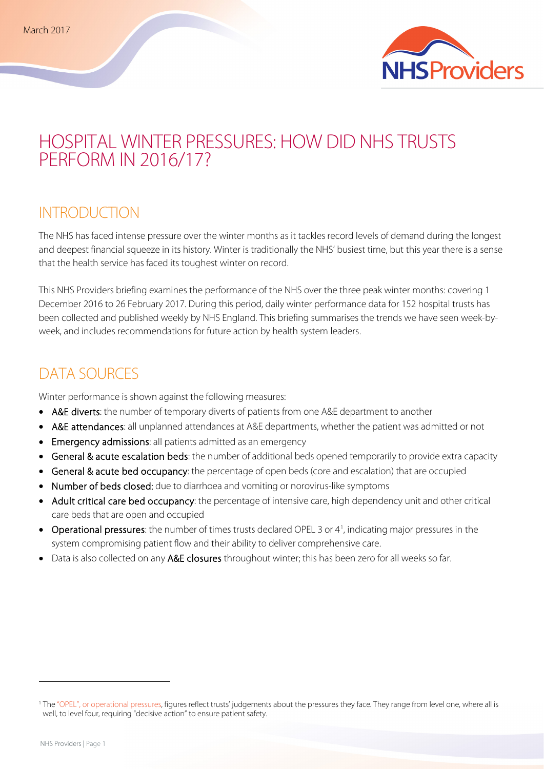

# HOSPITAL WINTER PRESSURES: HOW DID NHS TRUSTS PERFORM IN 2016/17?

### **INTRODUCTION**

The NHS has faced intense pressure over the winter months as it tackles record levels of demand during the longest and deepest financial squeeze in its history. Winter is traditionally the NHS' busiest time, but this year there is a sense that the health service has faced its toughest winter on record.

This NHS Providers briefing examines the performance of the NHS over the three peak winter months: covering 1 December 2016 to 26 February 2017. During this period, daily winter performance data for 152 hospital trusts has been collected and published weekly by NHS England. This briefing summarises the trends we have seen week-byweek, and includes recommendations for future action by health system leaders.

### DATA SOURCES

Winter performance is shown against the following measures:

- A&E diverts: the number of temporary diverts of patients from one A&E department to another
- A&E attendances: all unplanned attendances at A&E departments, whether the patient was admitted or not
- Emergency admissions: all patients admitted as an emergency
- General & acute escalation beds: the number of additional beds opened temporarily to provide extra capacity
- General & acute bed occupancy: the percentage of open beds (core and escalation) that are occupied
- Number of beds closed: due to diarrhoea and vomiting or norovirus-like symptoms
- Adult critical care bed occupancy: the percentage of intensive care, high dependency unit and other critical care beds that are open and occupied
- Operational pressures: the number of times trusts declared OPEL 3 or 4<sup>[1](#page-0-0)</sup>, indicating major pressures in the system compromising patient flow and their ability to deliver comprehensive care.
- Data is also collected on any A&E closures throughout winter; this has been zero for all weeks so far.

 $\overline{\phantom{a}}$ 

<span id="page-0-0"></span><sup>&</sup>lt;sup>1</sup> Th[e "OPEL", or operational pressures,](https://www.nuffieldtrust.org.uk/news-item/black-alert-or-many-shades-of-opel) figures reflect trusts' judgements about the pressures they face. They range from level one, where all is well, to level four, requiring "decisive action" to ensure patient safety.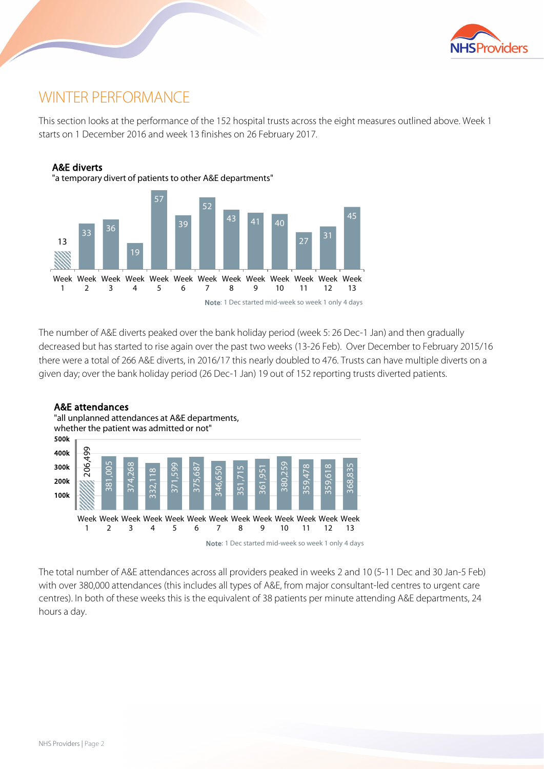

## WINTER PERFORMANCE

This section looks at the performance of the 152 hospital trusts across the eight measures outlined above. Week 1 starts on 1 December 2016 and week 13 finishes on 26 February 2017.



The number of A&E diverts peaked over the bank holiday period (week 5: 26 Dec-1 Jan) and then gradually decreased but has started to rise again over the past two weeks (13-26 Feb). Over December to February 2015/16 there were a total of 266 A&E diverts, in 2016/17 this nearly doubled to 476. Trusts can have multiple diverts on a given day; over the bank holiday period (26 Dec-1 Jan) 19 out of 152 reporting trusts diverted patients.



Note: 1 Dec started mid-week so week 1 only 4 days

The total number of A&E attendances across all providers peaked in weeks 2 and 10 (5-11 Dec and 30 Jan-5 Feb) with over 380,000 attendances (this includes all types of A&E, from major consultant-led centres to urgent care centres). In both of these weeks this is the equivalent of 38 patients per minute attending A&E departments, 24 hours a day.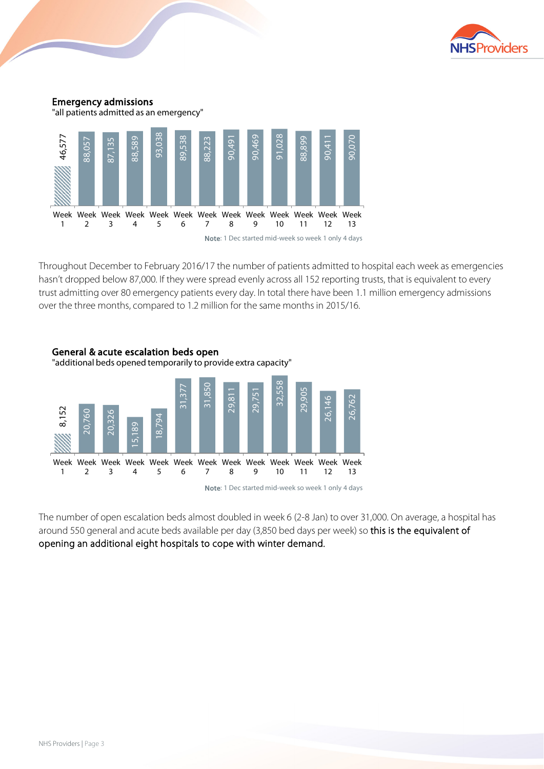



Throughout December to February 2016/17 the number of patients admitted to hospital each week as emergencies hasn't dropped below 87,000. If they were spread evenly across all 152 reporting trusts, that is equivalent to every trust admitting over 80 emergency patients every day. In total there have been 1.1 million emergency admissions over the three months, compared to 1.2 million for the same months in 2015/16.



The number of open escalation beds almost doubled in week 6 (2-8 Jan) to over 31,000. On average, a hospital has around 550 general and acute beds available per day (3,850 bed days per week) so this is the equivalent of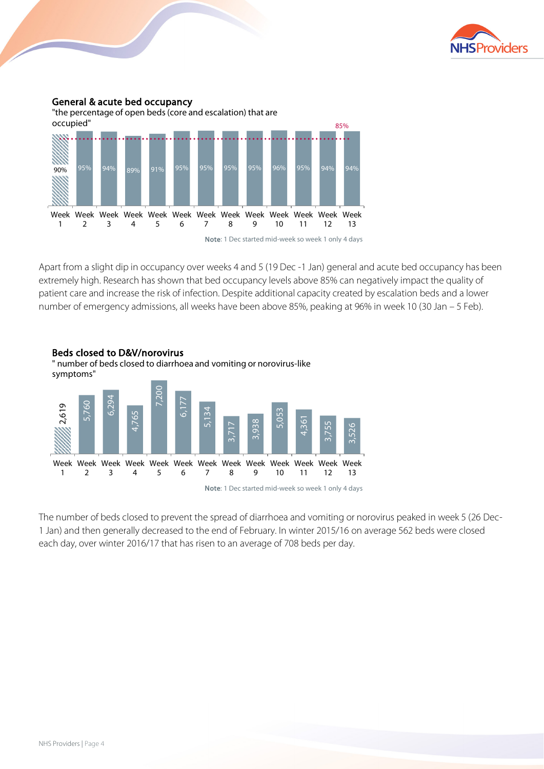

#### General & acute bed occupancy





Note: 1 Dec started mid-week so week 1 only 4 days

Apart from a slight dip in occupancy over weeks 4 and 5 (19 Dec -1 Jan) general and acute bed occupancy has been extremely high. Research has shown that bed occupancy levels above 85% can negatively impact the quality of patient care and increase the risk of infection. Despite additional capacity created by escalation beds and a lower number of emergency admissions, all weeks have been above 85%, peaking at 96% in week 10 (30 Jan – 5 Feb).



The number of beds closed to prevent the spread of diarrhoea and vomiting or norovirus peaked in week 5 (26 Dec-1 Jan) and then generally decreased to the end of February. In winter 2015/16 on average 562 beds were closed each day, over winter 2016/17 that has risen to an average of 708 beds per day.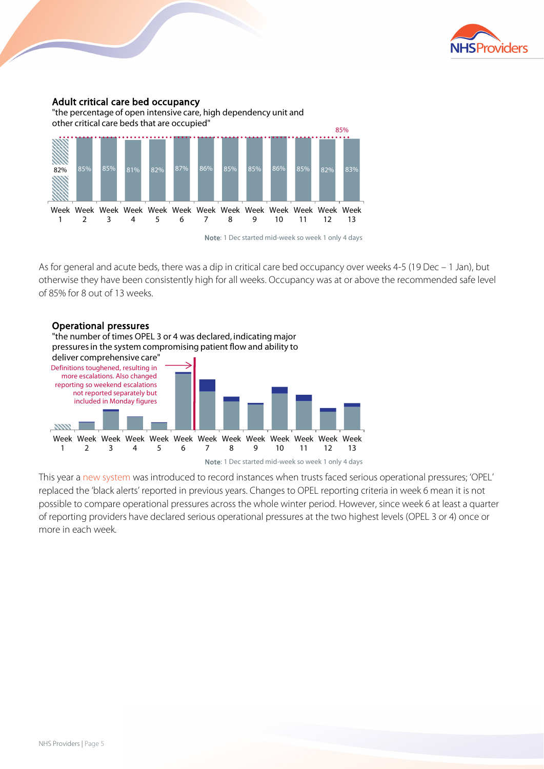

#### Adult critical care bed occupancy

"the percentage of open intensive care, high dependency unit and other critical care beds that are occupied"



Note: 1 Dec started mid-week so week 1 only 4 days

As for general and acute beds, there was a dip in critical care bed occupancy over weeks 4-5 (19 Dec – 1 Jan), but otherwise they have been consistently high for all weeks. Occupancy was at or above the recommended safe level of 85% for 8 out of 13 weeks.



This year [a new system](https://www.nuffieldtrust.org.uk/news-item/black-alert-or-many-shades-of-opel#what-do-the-opel-figures-tell-us-about-winter-so-far) was introduced to record instances when trusts faced serious operational pressures; 'OPEL' replaced the 'black alerts' reported in previous years. Changes to OPEL reporting criteria in week 6 mean it is not possible to compare operational pressures across the whole winter period. However, since week 6 at least a quarter of reporting providers have declared serious operational pressures at the two highest levels (OPEL 3 or 4) once or more in each week.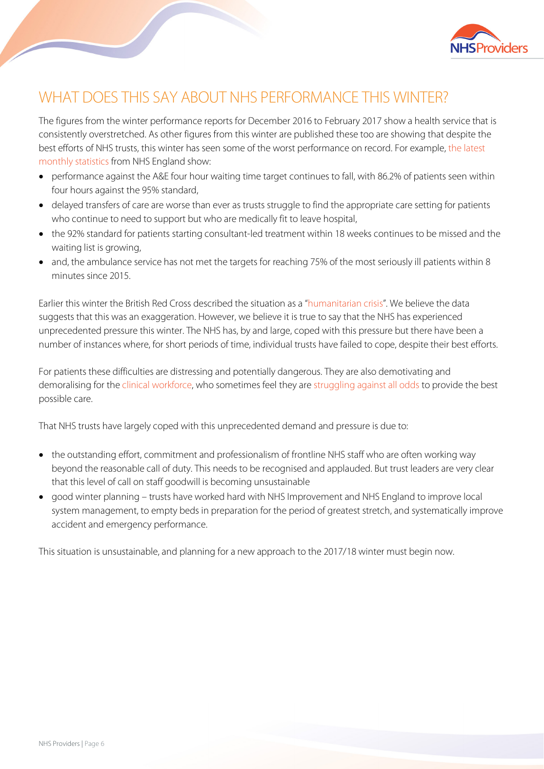

# WHAT DOES THIS SAY ABOUT NHS PERFORMANCE THIS WINTER?

The figures from the winter performance reports for December 2016 to February 2017 show a health service that is consistently overstretched. As other figures from this winter are published these too are showing that despite the best efforts of NHS trusts, this winter has seen some of the worst performance on record. For example, [the latest](https://www.england.nhs.uk/statistics/statistical-work-areas/combined-performance-summary/)  [monthly statistics](https://www.england.nhs.uk/statistics/statistical-work-areas/combined-performance-summary/) from NHS England show:

- performance against the A&E four hour waiting time target continues to fall, with 86.2% of patients seen within four hours against the 95% standard,
- delayed transfers of care are worse than ever as trusts struggle to find the appropriate care setting for patients who continue to need to support but who are medically fit to leave hospital,
- the 92% standard for patients starting consultant-led treatment within 18 weeks continues to be missed and the waiting list is growing,
- and, the ambulance service has not met the targets for reaching 75% of the most seriously ill patients within 8 minutes since 2015.

Earlier this winter the British Red Cross described the situation as a ["humanitarian crisis"](https://www.theguardian.com/society/2017/jan/06/nhs-faces-humanitarian-crisis-rising-demand-british-red-cross). We believe the data suggests that this was an exaggeration. However, we believe it is true to say that the NHS has experienced unprecedented pressure this winter. The NHS has, by and large, coped with this pressure but there have been a number of instances where, for short periods of time, individual trusts have failed to cope, despite their best efforts.

For patients these difficulties are distressing and potentially dangerous. They are also demotivating and demoralising for th[e clinical workforce,](https://www.rcplondon.ac.uk/news/quality-patient-care-threatened-physicians-tell-pm) who sometimes feel they ar[e struggling against all odds](https://www.rcplondon.ac.uk/projects/outputs/against-odds-experiences-nhs-front-line) to provide the best possible care.

That NHS trusts have largely coped with this unprecedented demand and pressure is due to:

- the outstanding effort, commitment and professionalism of frontline NHS staff who are often working way beyond the reasonable call of duty. This needs to be recognised and applauded. But trust leaders are very clear that this level of call on staff goodwill is becoming unsustainable
- good winter planning trusts have worked hard with NHS Improvement and NHS England to improve local system management, to empty beds in preparation for the period of greatest stretch, and systematically improve accident and emergency performance.

This situation is unsustainable, and planning for a new approach to the 2017/18 winter must begin now.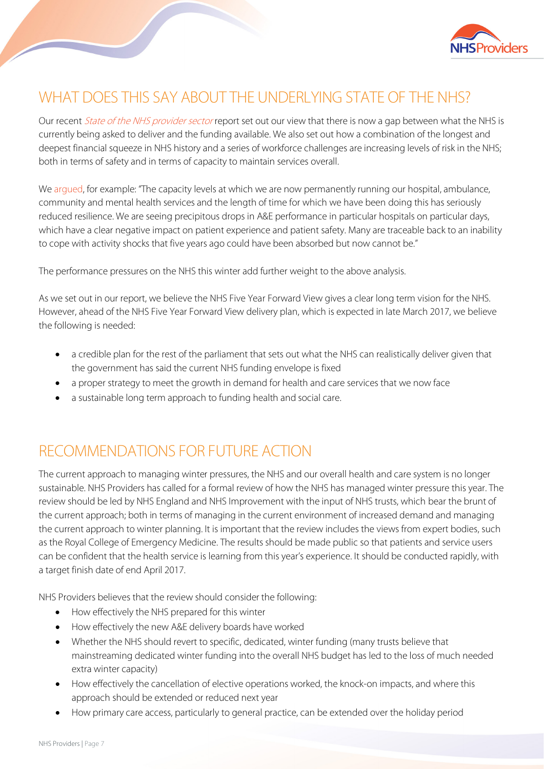

# WHAT DOES THIS SAY ABOUT THE UNDERLYING STATE OF THE NHS?

Our recent *[State of the NHS provider sector](https://www.nhsproviders.org/state-of-the-provider-sector-11-16)* report set out our view that there is now a gap between what the NHS is currently being asked to deliver and the funding available. We also set out how a combination of the longest and deepest financial squeeze in NHS history and a series of workforce challenges are increasing levels of risk in the NHS; both in terms of safety and in terms of capacity to maintain services overall.

We [argued,](https://www.nhsproviders.org/state-of-the-provider-sector-11-16) for example: "The capacity levels at which we are now permanently running our hospital, ambulance, community and mental health services and the length of time for which we have been doing this has seriously reduced resilience. We are seeing precipitous drops in A&E performance in particular hospitals on particular days, which have a clear negative impact on patient experience and patient safety. Many are traceable back to an inability to cope with activity shocks that five years ago could have been absorbed but now cannot be."

The performance pressures on the NHS this winter add further weight to the above analysis.

As we set out in our report, we believe the NHS Five Year Forward View gives a clear long term vision for the NHS. However, ahead of the NHS Five Year Forward View delivery plan, which is expected in late March 2017, we believe the following is needed:

- a credible plan for the rest of the parliament that sets out what the NHS can realistically deliver given that the government has said the current NHS funding envelope is fixed
- a proper strategy to meet the growth in demand for health and care services that we now face
- a sustainable long term approach to funding health and social care.

## RECOMMENDATIONS FOR FUTURE ACTION

The current approach to managing winter pressures, the NHS and our overall health and care system is no longer sustainable. NHS Providers has called for a formal review of how the NHS has managed winter pressure this year. The review should be led by NHS England and NHS Improvement with the input of NHS trusts, which bear the brunt of the current approach; both in terms of managing in the current environment of increased demand and managing the current approach to winter planning. It is important that the review includes the views from expert bodies, such as the Royal College of Emergency Medicine. The results should be made public so that patients and service users can be confident that the health service is learning from this year's experience. It should be conducted rapidly, with a target finish date of end April 2017.

NHS Providers believes that the review should consider the following:

- How effectively the NHS prepared for this winter
- How effectively the new A&E delivery boards have worked
- Whether the NHS should revert to specific, dedicated, winter funding (many trusts believe that mainstreaming dedicated winter funding into the overall NHS budget has led to the loss of much needed extra winter capacity)
- How effectively the cancellation of elective operations worked, the knock-on impacts, and where this approach should be extended or reduced next year
- How primary care access, particularly to general practice, can be extended over the holiday period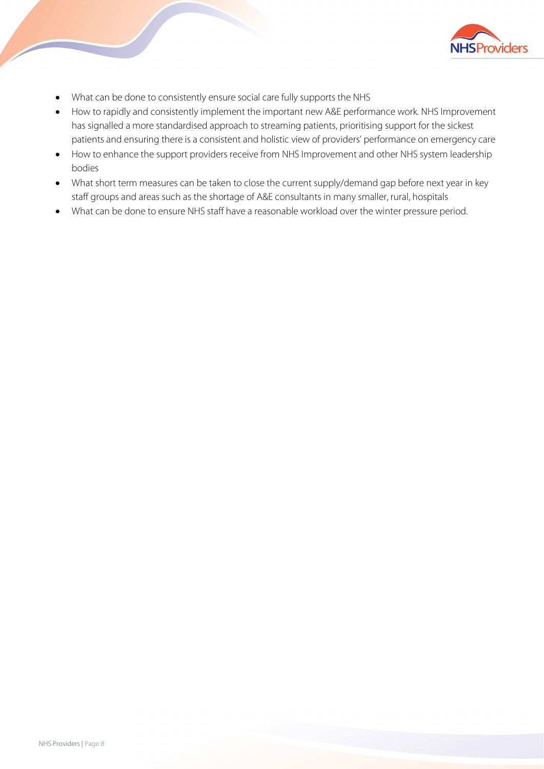

- What can be done to consistently ensure social care fully supports the NHS
- How to rapidly and consistently implement the important new A&E performance work. NHS Improvement has signalled a more standardised approach to streaming patients, prioritising support for the sickest patients and ensuring there is a consistent and holistic view of providers' performance on emergency care
- How to enhance the support providers receive from NHS Improvement and other NHS system leadership bodies
- What short term measures can be taken to close the current supply/demand gap before next year in key staff groups and areas such as the shortage of A&E consultants in many smaller, rural, hospitals
- What can be done to ensure NHS staff have a reasonable workload over the winter pressure period.